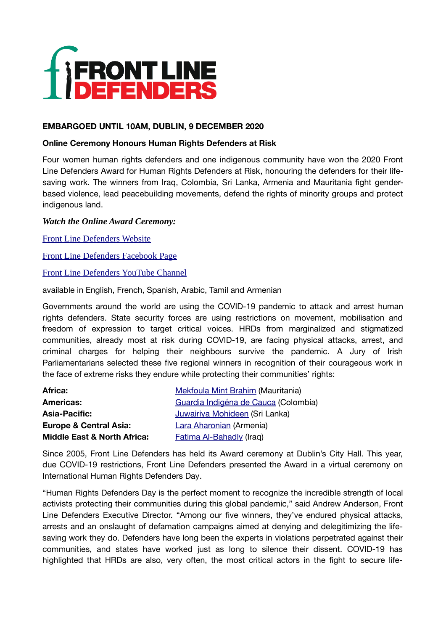

### **EMBARGOED UNTIL 10AM, DUBLIN, 9 DECEMBER 2020**

### **Online Ceremony Honours Human Rights Defenders at Risk**

Four women human rights defenders and one indigenous community have won the 2020 Front Line Defenders Award for Human Rights Defenders at Risk, honouring the defenders for their lifesaving work. The winners from Iraq, Colombia, Sri Lanka, Armenia and Mauritania fight genderbased violence, lead peacebuilding movements, defend the rights of minority groups and protect indigenous land.

## *Watch the Online Award Ceremony:*

[Front Line Defenders Website](https://www.frontlinedefenders.org/2020Award)

[Front Line Defenders Facebook Page](http://www.facebook.com/FrontLineDefenders)

[Front Line Defenders YouTube Channel](https://youtube.com/frontlinehrd)

available in English, French, Spanish, Arabic, Tamil and Armenian

Governments around the world are using the COVID-19 pandemic to attack and arrest human rights defenders. State security forces are using restrictions on movement, mobilisation and freedom of expression to target critical voices. HRDs from marginalized and stigmatized communities, already most at risk during COVID-19, are facing physical attacks, arrest, and criminal charges for helping their neighbours survive the pandemic. A Jury of Irish Parliamentarians selected these five regional winners in recognition of their courageous work in the face of extreme risks they endure while protecting their communities' rights:

| <b>Africa:</b>                         | <b>Mekfoula Mint Brahim (Mauritania)</b> |
|----------------------------------------|------------------------------------------|
| <b>Americas:</b>                       | Guardia Indigéna de Cauca (Colombia)     |
| <b>Asia-Pacific:</b>                   | Juwairiya Mohideen (Sri Lanka)           |
| <b>Europe &amp; Central Asia:</b>      | Lara Aharonian (Armenia)                 |
| <b>Middle East &amp; North Africa:</b> | <b>Fatima AI-Bahadly (Iraq)</b>          |

Since 2005, Front Line Defenders has held its Award ceremony at Dublin's City Hall. This year, due COVID-19 restrictions, Front Line Defenders presented the Award in a virtual ceremony on International Human Rights Defenders Day.

"Human Rights Defenders Day is the perfect moment to recognize the incredible strength of local activists protecting their communities during this global pandemic," said Andrew Anderson, Front Line Defenders Executive Director. "Among our five winners, they've endured physical attacks, arrests and an onslaught of defamation campaigns aimed at denying and delegitimizing the lifesaving work they do. Defenders have long been the experts in violations perpetrated against their communities, and states have worked just as long to silence their dissent. COVID-19 has highlighted that HRDs are also, very often, the most critical actors in the fight to secure life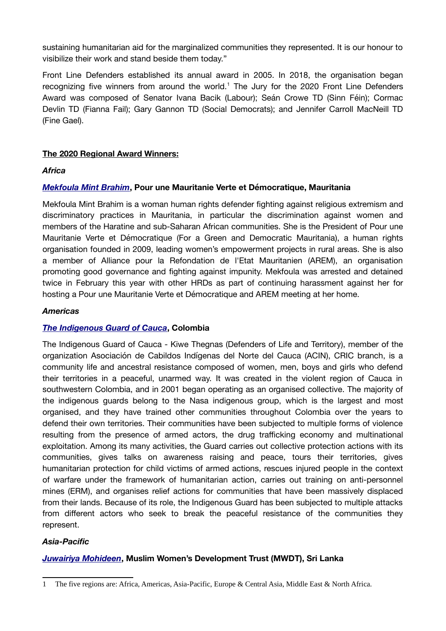sustaining humanitarian aid for the marginalized communities they represented. It is our honour to visibilize their work and stand beside them today."

Front Line Defenders established its annual award in 2005. In 2018, the organisation began recognizing five winners from around the world.<sup>[1](#page-1-0)</sup> The Jury for the 2020 Front Line Defenders Award was composed of Senator Ivana Bacik (Labour); Seán Crowe TD (Sinn Féin); Cormac Devlin TD (Fianna Fail); Gary Gannon TD (Social Democrats); and Jennifer Carroll MacNeill TD (Fine Gael).

## **The 2020 Regional Award Winners:**

### *Africa*

### *[Mekfoula Mint Brahim](https://www.frontlinedefenders.org/en/campaign/2020-africa-regional-award-winner)***, Pour une Mauritanie Verte et Démocratique, Mauritania**

Mekfoula Mint Brahim is a woman human rights defender fighting against religious extremism and discriminatory practices in Mauritania, in particular the discrimination against women and members of the Haratine and sub-Saharan African communities. She is the President of Pour une Mauritanie Verte et Démocratique (For a Green and Democratic Mauritania), a human rights organisation founded in 2009, leading women's empowerment projects in rural areas. She is also a member of Alliance pour la Refondation de l'Etat Mauritanien (AREM), an organisation promoting good governance and fighting against impunity. Mekfoula was arrested and detained twice in February this year with other HRDs as part of continuing harassment against her for hosting a Pour une Mauritanie Verte et Démocratique and AREM meeting at her home.

### *Americas*

### *[The Indigenous Guard of Cauca](https://www.frontlinedefenders.org/en/campaign/2020-americas-regional-award-winner)***, Colombia**

The Indigenous Guard of Cauca - Kiwe Thegnas (Defenders of Life and Territory), member of the organization Asociación de Cabildos Indígenas del Norte del Cauca (ACIN), CRIC branch, is a community life and ancestral resistance composed of women, men, boys and girls who defend their territories in a peaceful, unarmed way. It was created in the violent region of Cauca in southwestern Colombia, and in 2001 began operating as an organised collective. The majority of the indigenous guards belong to the Nasa indigenous group, which is the largest and most organised, and they have trained other communities throughout Colombia over the years to defend their own territories. Their communities have been subjected to multiple forms of violence resulting from the presence of armed actors, the drug trafficking economy and multinational exploitation. Among its many activities, the Guard carries out collective protection actions with its communities, gives talks on awareness raising and peace, tours their territories, gives humanitarian protection for child victims of armed actions, rescues injured people in the context of warfare under the framework of humanitarian action, carries out training on anti-personnel mines (ERM), and organises relief actions for communities that have been massively displaced from their lands. Because of its role, the Indigenous Guard has been subjected to multiple attacks from different actors who seek to break the peaceful resistance of the communities they represent.

### *Asia-Pacific*

# *[Juwairiya Mohideen](https://www.frontlinedefenders.org/en/campaign/2020-asia-pacific-regional-award-winner)***, Muslim Women's Development Trust (MWDT), Sri Lanka**

<span id="page-1-0"></span><sup>1</sup> The five regions are: Africa, Americas, Asia-Pacific, Europe & Central Asia, Middle East & North Africa.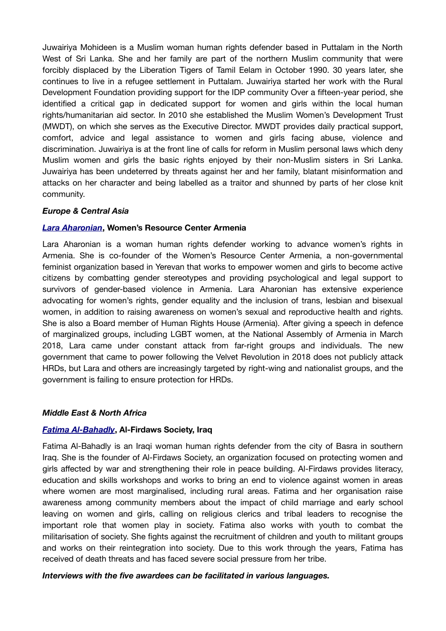Juwairiya Mohideen is a Muslim woman human rights defender based in Puttalam in the North West of Sri Lanka. She and her family are part of the northern Muslim community that were forcibly displaced by the Liberation Tigers of Tamil Eelam in October 1990. 30 years later, she continues to live in a refugee settlement in Puttalam. Juwairiya started her work with the Rural Development Foundation providing support for the IDP community Over a fifteen-year period, she identified a critical gap in dedicated support for women and girls within the local human rights/humanitarian aid sector. In 2010 she established the Muslim Women's Development Trust (MWDT), on which she serves as the Executive Director. MWDT provides daily practical support, comfort, advice and legal assistance to women and girls facing abuse, violence and discrimination. Juwairiya is at the front line of calls for reform in Muslim personal laws which deny Muslim women and girls the basic rights enjoyed by their non-Muslim sisters in Sri Lanka. Juwairiya has been undeterred by threats against her and her family, blatant misinformation and attacks on her character and being labelled as a traitor and shunned by parts of her close knit community.

### *Europe & Central Asia*

#### *[L ara Aharonian](https://www.frontlinedefenders.org/en/campaign/2020-europe-central-asia-regional-award-winner)***, Women's Resource Center Armenia**

Lara Aharonian is a woman human rights defender working to advance women's rights in Armenia. She is co-founder of the Women's Resource Center Armenia, a non-governmental feminist organization based in Yerevan that works to empower women and girls to become active citizens by combatting gender stereotypes and providing psychological and legal support to survivors of gender-based violence in Armenia. Lara Aharonian has extensive experience advocating for women's rights, gender equality and the inclusion of trans, lesbian and bisexual women, in addition to raising awareness on women's sexual and reproductive health and rights. She is also a Board member of Human Rights House (Armenia). After giving a speech in defence of marginalized groups, including LGBT women, at the National Assembly of Armenia in March 2018, Lara came under constant attack from far-right groups and individuals. The new government that came to power following the Velvet Revolution in 2018 does not publicly attack HRDs, but Lara and others are increasingly targeted by right-wing and nationalist groups, and the government is failing to ensure protection for HRDs.

#### *Middle East & North Africa*

#### *[Fatima Al-Bahadly](https://www.frontlinedefenders.org/en/campaign/2020-middle-east-north-africa-regional-award-winner)***, Al-Firdaws Society, Iraq**

Fatima Al-Bahadly is an Iraqi woman human rights defender from the city of Basra in southern Iraq. She is the founder of Al-Firdaws Society, an organization focused on protecting women and girls affected by war and strengthening their role in peace building. Al-Firdaws provides literacy, education and skills workshops and works to bring an end to violence against women in areas where women are most marginalised, including rural areas. Fatima and her organisation raise awareness among community members about the impact of child marriage and early school leaving on women and girls, calling on religious clerics and tribal leaders to recognise the important role that women play in society. Fatima also works with youth to combat the militarisation of society. She fights against the recruitment of children and youth to militant groups and works on their reintegration into society. Due to this work through the years, Fatima has received of death threats and has faced severe social pressure from her tribe.

#### *Interviews with the five awardees can be facilitated in various languages.*